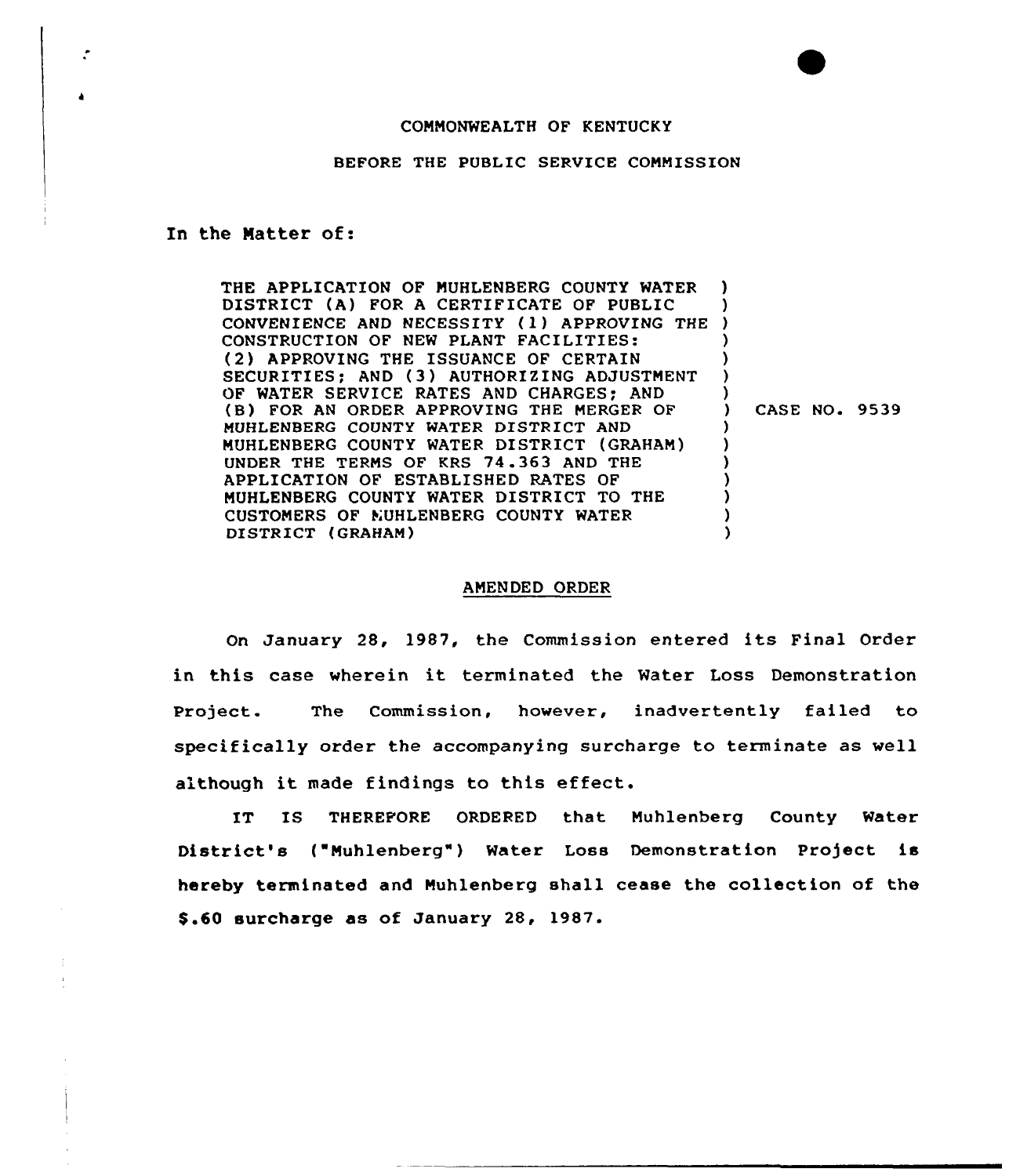## COMMONWEALTH OF KENTUCKY

BEFORE THE PUBLIC SERVICE COMMISSION

## In the Natter of:

THE APPLICATION OF MUHLENBERG COUNTY WATER DISTRICT (A) FOR A CERTIFICATE OF PUBLIC DISTRICT (A) FOR A CERTIFICATE OF PUBLIC<br>CONVENIENCE AND NECESSITY (1) APPROVING THE ) CONSTRUCTION OF NEW PLANT FACILITIES: (2) APPROVING THE ISSUANCE OF CERTAIN SECURITIES; AND (3) AUTHORIZING ADJUSTMENT OF WATER SERVICE RATES AND CHARGES; AND (B) FOR AN ORDER APPROVING THE MERGER OF MUHLENBERG COUNTY WATER DISTRICT AND MUHLENBERG COUNTY WATER DISTRICT (GRAHAM) UNDER THE TERMS OF KRS 74.363 AND THE APPLICATION OF ESTABLISHED RATES OF MUHLENBERG COUNTY WATER DISTRICT TO THE CUSTOMERS OF MUHLENBERG COUNTY WATER DISTRICT (GRAHAM) ) ) ) ) ) ) ) CASE NO. 9539 ) ) ) ) ) ) )

## AMENDED ORDER

On January 28, 1987, the Commission entered its Final Order in this case wherein it terminated the Water Loss Demonstration Project. The Commission, however, inadvertently failed to specifically order the accompanying surcharge to terminate as well although it made findings to this effect.

IT IS THEREFORE ORDERED that Muhlenberg County Water District's ("Muhlenberg") Water Loss Demonstration Project is hereby terminated and Muhlenberg shall cease the collection of the \$ .60 surcharge as of January 28, 1987.